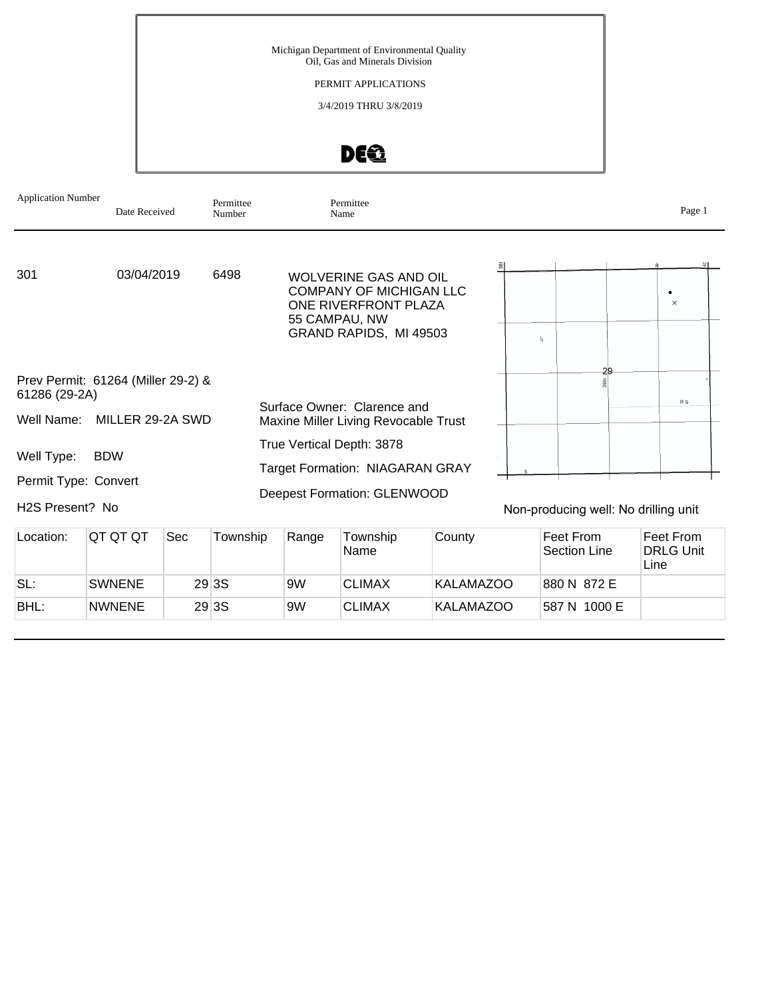PERMIT APPLICATIONS

3/4/2019 THRU 3/8/2019

# DEQ

| <b>Application Number</b>                           | Date Received    |     | Permittee<br>Number |       | Permittee<br>Name                                                                                                                 |        |                                      | Page 1         |
|-----------------------------------------------------|------------------|-----|---------------------|-------|-----------------------------------------------------------------------------------------------------------------------------------|--------|--------------------------------------|----------------|
| 301                                                 | 03/04/2019       |     | 6498                |       | <b>WOLVERINE GAS AND OIL</b><br><b>COMPANY OF MICHIGAN LLC</b><br>ONE RIVERFRONT PLAZA<br>55 CAMPAU, NW<br>GRAND RAPIDS, MI 49503 |        | P.                                   | ٠<br>$\times$  |
| Prev Permit: 61264 (Miller 29-2) &<br>61286 (29-2A) |                  |     |                     |       |                                                                                                                                   |        | 29                                   |                |
| Well Name:                                          | MILLER 29-2A SWD |     |                     |       | Surface Owner: Clarence and<br>Maxine Miller Living Revocable Trust                                                               |        |                                      | R <sub>S</sub> |
| Well Type:<br>Permit Type: Convert                  | <b>BDW</b>       |     |                     |       | True Vertical Depth: 3878<br><b>Target Formation: NIAGARAN GRAY</b><br>Deepest Formation: GLENWOOD                                |        |                                      |                |
| H2S Present? No                                     |                  |     |                     |       |                                                                                                                                   |        | Non-producing well: No drilling unit |                |
| Location:                                           | QT QT QT         | Sec | Township            | Range | Township                                                                                                                          | County | Feet From                            | Feet From      |

| LUCQUUI. | ושו שו שו     | ou, | I UWI ISHID. | <b>Naliye</b> | TUWISHIP<br><b>Name</b> | <b>CUULILY</b> | LAAL LIOIII<br>Section Line | -eer Linii<br><b>DRLG Unit</b><br>Line |
|----------|---------------|-----|--------------|---------------|-------------------------|----------------|-----------------------------|----------------------------------------|
| SL:      | <b>SWNENE</b> |     | 29 3 S       | 9W            | <b>CLIMAX</b>           | KALAMAZOO      | 880 N 872 E                 |                                        |
| BHL:     | <b>NWNENE</b> |     | 29 3 S       | 9W            | <b>CLIMAX</b>           | KALAMAZOO      | 587 N 1000 E                |                                        |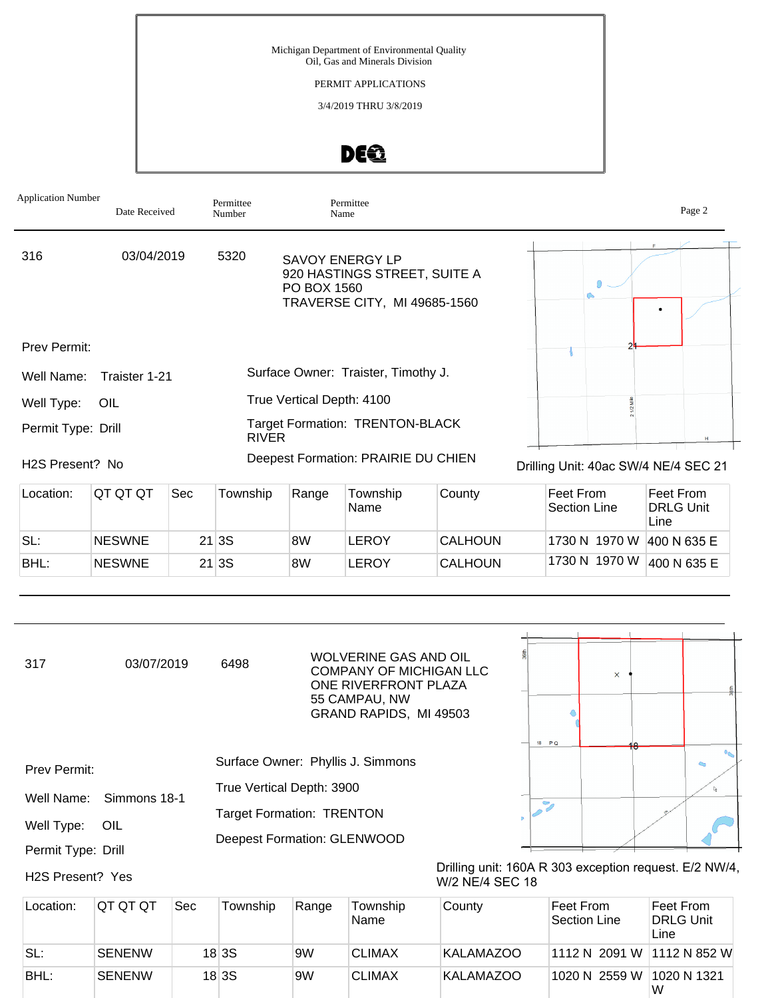#### PERMIT APPLICATIONS

3/4/2019 THRU 3/8/2019

## DEQ

| <b>Application Number</b> | Date Received |     | Permittee<br>Number | Name                      | Permittee                                                                       |        |           | Page 2                               |  |
|---------------------------|---------------|-----|---------------------|---------------------------|---------------------------------------------------------------------------------|--------|-----------|--------------------------------------|--|
| 316                       | 03/04/2019    |     | 5320                | PO BOX 1560               | SAVOY ENERGY LP<br>920 HASTINGS STREET, SUITE A<br>TRAVERSE CITY, MI 49685-1560 |        |           |                                      |  |
| <b>Prev Permit:</b>       |               |     |                     |                           |                                                                                 |        |           |                                      |  |
| Well Name:                | Traister 1-21 |     |                     |                           | Surface Owner: Traister, Timothy J.                                             |        |           |                                      |  |
| Well Type:                | OIL           |     |                     | True Vertical Depth: 4100 |                                                                                 |        |           |                                      |  |
| Permit Type: Drill        |               |     | <b>RIVER</b>        |                           | <b>Target Formation: TRENTON-BLACK</b>                                          |        |           |                                      |  |
| H2S Present? No           |               |     |                     |                           | Deepest Formation: PRAIRIE DU CHIEN                                             |        |           | Drilling Unit: 40ac SW/4 NE/4 SEC 21 |  |
| Location:                 | QT QT QT      | Sec | Township            | Range                     | Township                                                                        | County | Feet From | Feet From                            |  |

| Location: | IUI UI UI     | <b>Sec</b> | Township | Range | Township<br>'Name | County         | ⊩reet From<br>Section Line | <b>Feet From</b><br><b>DRLG Unit</b><br>Line |
|-----------|---------------|------------|----------|-------|-------------------|----------------|----------------------------|----------------------------------------------|
| SL:       | <b>NESWNE</b> |            | 21 3S    | 8W    | LEROY             | <b>CALHOUN</b> | 1730 N 1970 W              | 400 N 635 E                                  |
| BHL:      | <b>NESWNE</b> |            | 21 3S    | 8W    | LEROY             | <b>CALHOUN</b> | 1730 N 1970 W              | 400 N 635 E                                  |

| 317                           | 03/07/2019    |     | 6498                               |       | <b>WOLVERINE GAS AND OIL</b><br><b>COMPANY OF MICHIGAN LLC</b><br>ONE RIVERFRONT PLAZA<br>55 CAMPAU, NW<br>GRAND RAPIDS, MI 49503 |                                                                           | 18 PQ                     | $\times$                         |                                       |              |
|-------------------------------|---------------|-----|------------------------------------|-------|-----------------------------------------------------------------------------------------------------------------------------------|---------------------------------------------------------------------------|---------------------------|----------------------------------|---------------------------------------|--------------|
| Prev Permit:                  |               |     | Surface Owner: Phyllis J. Simmons  |       |                                                                                                                                   |                                                                           |                           |                                  |                                       |              |
| Well Name:                    | Simmons 18-1  |     | True Vertical Depth: 3900          |       |                                                                                                                                   |                                                                           |                           |                                  |                                       |              |
|                               |               |     | <b>Target Formation: TRENTON</b>   |       |                                                                                                                                   |                                                                           | $\mathcal{P}_\mathcal{A}$ |                                  |                                       |              |
| Well Type:                    | OIL           |     |                                    |       |                                                                                                                                   |                                                                           |                           |                                  |                                       |              |
| Permit Type: Drill            |               |     | <b>Deepest Formation: GLENWOOD</b> |       |                                                                                                                                   |                                                                           |                           |                                  |                                       |              |
| H <sub>2</sub> S Present? Yes |               |     |                                    |       |                                                                                                                                   | Drilling unit: 160A R 303 exception request. E/2 NW/4,<br>W/2 NE/4 SEC 18 |                           |                                  |                                       |              |
| Location:                     | QT QT QT      | Sec | Township                           | Range | Township<br>Name                                                                                                                  | County                                                                    |                           | Feet From<br><b>Section Line</b> | Feet From<br><b>DRLG Unit</b><br>Line |              |
| SL:                           | <b>SENENW</b> |     | 18 3S                              | 9W    | <b>CLIMAX</b>                                                                                                                     | <b>KALAMAZOO</b>                                                          |                           | 1112 N 2091 W                    |                                       | 1112 N 852 W |

BHL: SENENW 18 3S 9W CLIMAX KALAMAZOO 1020 N 2559 W 1020 N 1321

W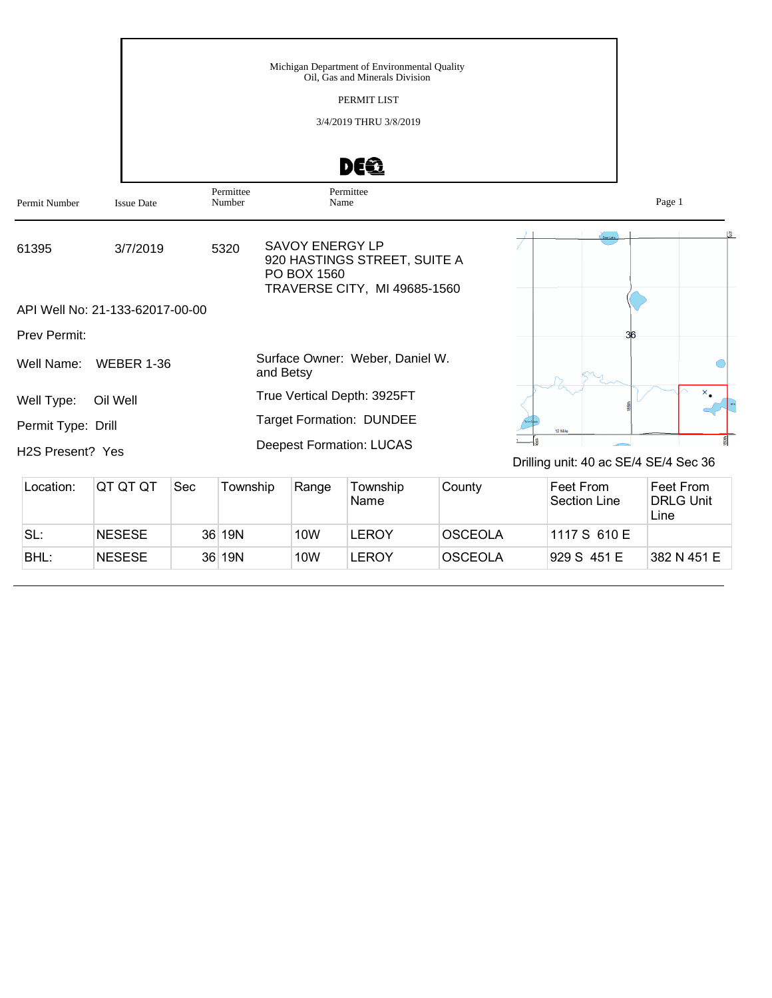|                    |                                 |                     | Michigan Department of Environmental Quality<br>Oil, Gas and Minerals Division<br>PERMIT LIST<br>3/4/2019 THRU 3/8/2019<br>DE® |                                       |        |
|--------------------|---------------------------------|---------------------|--------------------------------------------------------------------------------------------------------------------------------|---------------------------------------|--------|
| Permit Number      | <b>Issue Date</b>               | Permittee<br>Number | Permittee<br>Name                                                                                                              |                                       | Page 1 |
| 61395              | 3/7/2019                        | 5320                | <b>SAVOY ENERGY LP</b><br>920 HASTINGS STREET, SUITE A<br>PO BOX 1560<br>TRAVERSE CITY, MI 49685-1560                          |                                       |        |
|                    | API Well No: 21-133-62017-00-00 |                     |                                                                                                                                |                                       |        |
| Prev Permit:       |                                 |                     |                                                                                                                                |                                       |        |
| Well Name:         | <b>WEBER 1-36</b>               |                     | Surface Owner: Weber, Daniel W.<br>and Betsy                                                                                   |                                       |        |
| Well Type:         | Oil Well                        |                     | True Vertical Depth: 3925FT                                                                                                    |                                       |        |
| Permit Type: Drill |                                 |                     | <b>Target Formation: DUNDEE</b>                                                                                                | 12 Mile                               |        |
| H2S Present? Yes   |                                 |                     | <b>Deepest Formation: LUCAS</b>                                                                                                | Drilling unit: 40 ac SE/4 SE/4 Sec 36 |        |

| Location: | IQT QT QT     | <b>Sec</b> | Township | Range | Township<br>Name | County         | Feet From<br>Section Line | Feet From<br><b>DRLG Unit</b><br>Line |
|-----------|---------------|------------|----------|-------|------------------|----------------|---------------------------|---------------------------------------|
| SL:       | <b>NESESE</b> |            | 36 19N   | 10W   | LEROY            | <b>OSCEOLA</b> | 1117 S 610 E              |                                       |
| BHL:      | <b>NESESE</b> |            | 36 19N   | 10W   | LEROY            | <b>OSCEOLA</b> | 929 S 451 E               | 382 N 451 E                           |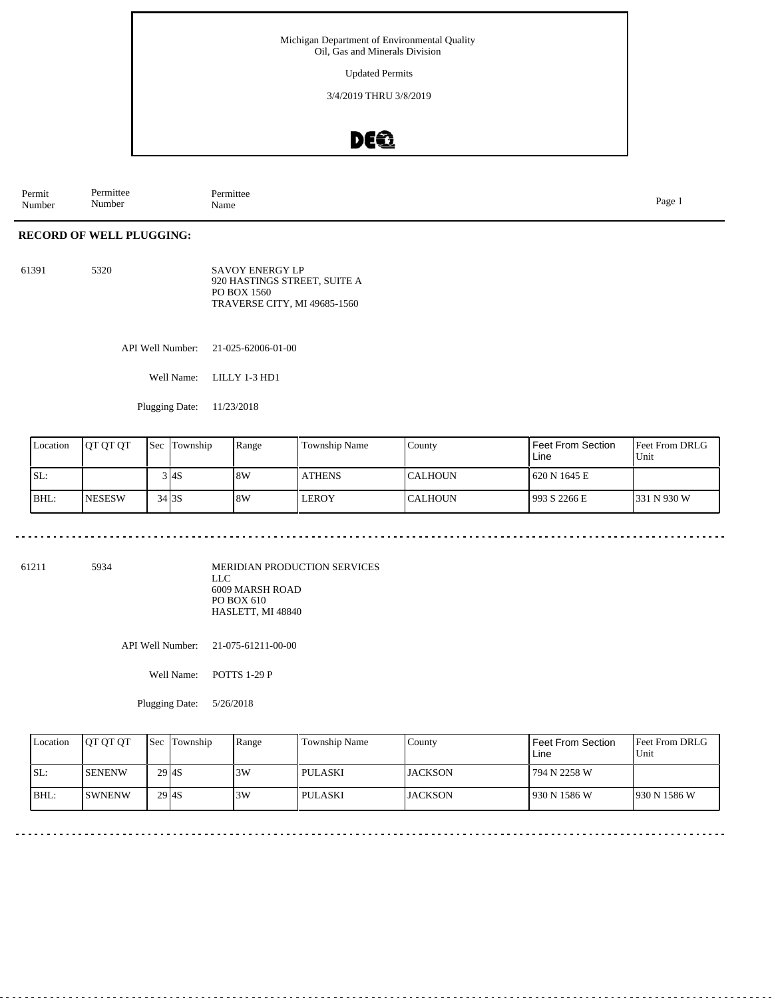Updated Permits

3/4/2019 THRU 3/8/2019

### DE®

Permit Number Permittee Number Permittee<br>Name nde and the page 1 and the page 1 and the page 1 and the page 1 and the page 1 and the page 1

#### **RECORD OF WELL PLUGGING:**

61391 5320 SAVOY ENERGY LP 920 HASTINGS STREET, SUITE A PO BOX 1560 TRAVERSE CITY, MI 49685-1560

API Well Number: 21-025-62006-01-00

Well Name: LILLY 1-3 HD1

Plugging Date: 11/23/2018

| Location | <b>IOT OT OT</b> | <b>Sec Township</b> | Range | Township Name | County          | I Feet From Section<br>Line | l Feet From DRLG<br>Unit |
|----------|------------------|---------------------|-------|---------------|-----------------|-----------------------------|--------------------------|
| SL:      |                  | 3 I4S               | 8W    | <b>ATHENS</b> | <b>ICALHOUN</b> | 1620 N 1645 E               |                          |
| BHL:     | <b>INESESW</b>   | 34 3 S              | 8W    | LEROY         | <b>ICALHOUN</b> | 993 S 2266 E                | 331 N 930 W              |

61211 5934

MERIDIAN PRODUCTION SERVICES LLC 6009 MARSH ROAD PO BOX 610 HASLETT, MI 48840

API Well Number: 21-075-61211-00-00

Well Name: POTTS 1-29 P

Plugging Date: 5/26/2018

|      | Location | <b>IOT OT OT</b> | <b>Sec Township</b> | Range | Township Name | County          | Feet From Section<br>Line | <b>IFeet From DRLG</b><br>Unit |
|------|----------|------------------|---------------------|-------|---------------|-----------------|---------------------------|--------------------------------|
| ISL: |          | <b>ISENENW</b>   | $29$ $4S$           | 3W    | l pulaski     | <b>IJACKSON</b> | 794 N 2258 W              |                                |
|      | BHL:     | <b>ISWNENW</b>   | $29$ $4S$           | 3W    | l pulaski     | <b>JACKSON</b>  | 930 N 1586 W              | 1930 N 1586 W                  |